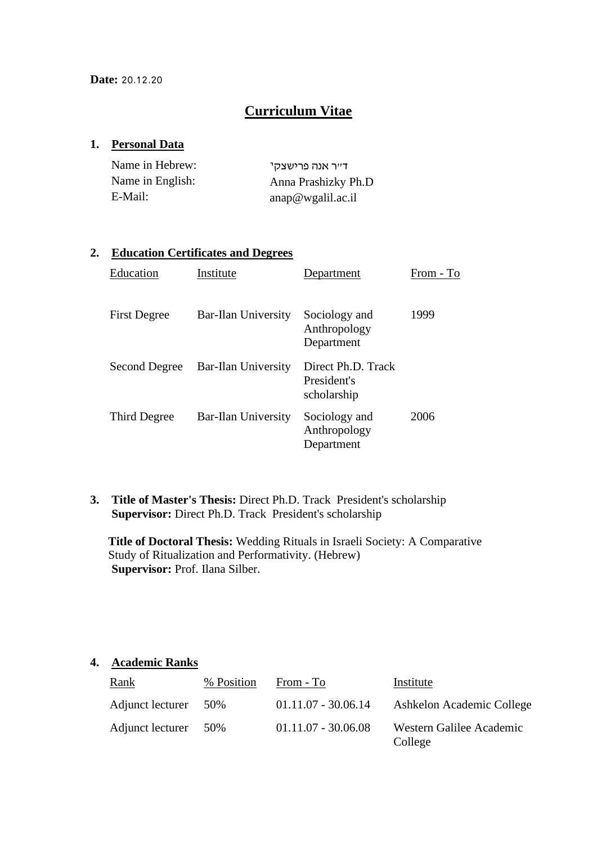### **Curriculum Vitae**

#### **1. Personal Data**

| Name in Hebrew:  | ד״ר אנה פרישצקי      |
|------------------|----------------------|
| Name in English: | Anna Prashizky Ph.D  |
| E-Mail:          | $anap@$ wgalil.ac.il |

#### **2. Education Certificates and Degrees**

| Education           | Institute                  | Department                                       | From - To |
|---------------------|----------------------------|--------------------------------------------------|-----------|
| <b>First Degree</b> | Bar-Ilan University        | Sociology and<br>Anthropology<br>Department      | 1999      |
| Second Degree       | <b>Bar-Ilan University</b> | Direct Ph.D. Track<br>President's<br>scholarship |           |
| Third Degree        | Bar-Ilan University        | Sociology and<br>Anthropology<br>Department      | 2006      |

**3. Title of Master's Thesis:** Direct Ph.D. Track President's scholarship **Supervisor:** Direct Ph.D. Track President's scholarship

**Title of Doctoral Thesis:** Wedding Rituals in Israeli Society: A Comparative Study of Ritualization and Performativity. (Hebrew) **Supervisor:** Prof. Ilana Silber.

#### **4. Academic Ranks**

| <u>Rank</u>      | % Position | From - To             | Institute                           |
|------------------|------------|-----------------------|-------------------------------------|
| Adjunct lecturer | 50%        | $01.11.07 - 30.06.14$ | Ashkelon Academic College           |
| Adjunct lecturer | 50%        | $01.11.07 - 30.06.08$ | Western Galilee Academic<br>College |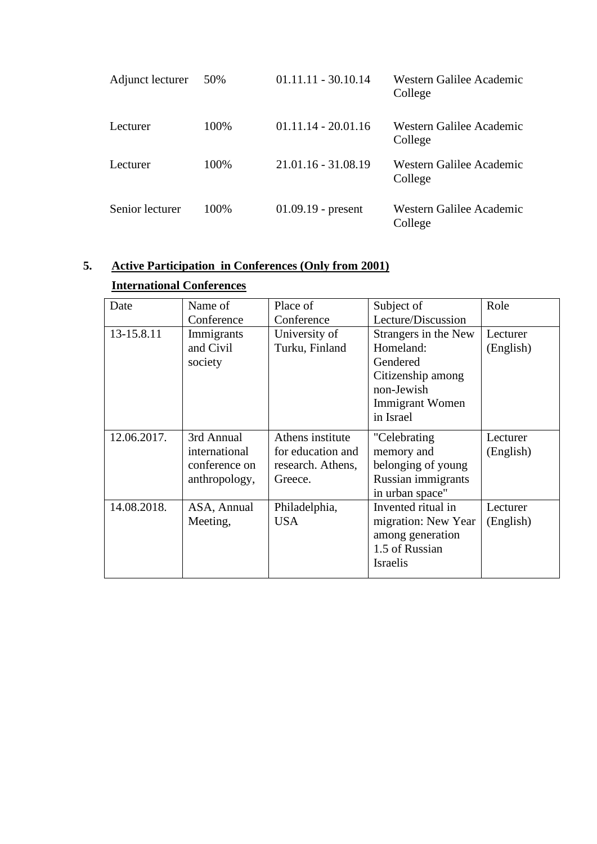| Adjunct lecturer | 50%  | $01.11.11 - 30.10.14$ | Western Galilee Academic<br>College |
|------------------|------|-----------------------|-------------------------------------|
| Lecturer         | 100% | $01.11.14 - 20.01.16$ | Western Galilee Academic<br>College |
| Lecturer         | 100% | $21.01.16 - 31.08.19$ | Western Galilee Academic<br>College |
| Senior lecturer  | 100% | $01.09.19$ - present  | Western Galilee Academic<br>College |

# **5. Active Participation in Conferences (Only from 2001)**

## **International Conferences**

| Date        | Name of<br>Conference                                         | Place of<br>Conference                                                | Subject of<br>Lecture/Discussion                                                                                        | Role                  |
|-------------|---------------------------------------------------------------|-----------------------------------------------------------------------|-------------------------------------------------------------------------------------------------------------------------|-----------------------|
| 13-15.8.11  | Immigrants<br>and Civil<br>society                            | University of<br>Turku, Finland                                       | Strangers in the New<br>Homeland:<br>Gendered<br>Citizenship among<br>non-Jewish<br><b>Immigrant Women</b><br>in Israel | Lecturer<br>(English) |
| 12.06.2017. | 3rd Annual<br>international<br>conference on<br>anthropology, | Athens institute<br>for education and<br>research. Athens,<br>Greece. | "Celebrating<br>memory and<br>belonging of young<br>Russian immigrants<br>in urban space"                               | Lecturer<br>(English) |
| 14.08.2018. | ASA, Annual<br>Meeting,                                       | Philadelphia,<br><b>USA</b>                                           | Invented ritual in<br>migration: New Year<br>among generation<br>1.5 of Russian<br><b>Israelis</b>                      | Lecturer<br>(English) |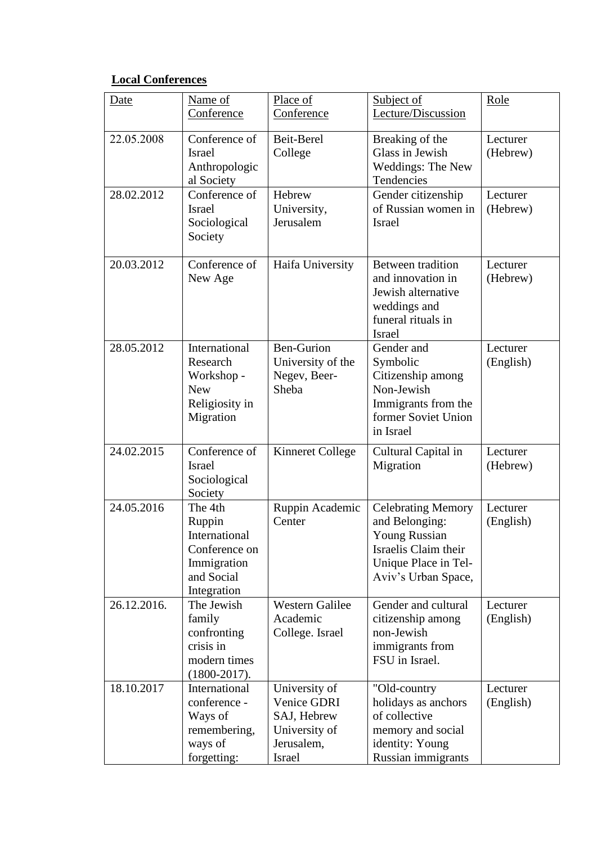### **Local Conferences**

| Date        | Name of<br>Conference                                                                           | Place of<br>Conference                                                               | Subject of<br>Lecture/Discussion                                                                                                           | Role                  |
|-------------|-------------------------------------------------------------------------------------------------|--------------------------------------------------------------------------------------|--------------------------------------------------------------------------------------------------------------------------------------------|-----------------------|
|             |                                                                                                 |                                                                                      |                                                                                                                                            |                       |
| 22.05.2008  | Conference of<br><b>Israel</b><br>Anthropologic<br>al Society                                   | Beit-Berel<br>College                                                                | Breaking of the<br>Glass in Jewish<br>Weddings: The New<br>Tendencies                                                                      | Lecturer<br>(Hebrew)  |
| 28.02.2012  | Conference of<br><b>Israel</b><br>Sociological<br>Society                                       | Hebrew<br>University,<br>Jerusalem                                                   | Gender citizenship<br>of Russian women in<br>Israel                                                                                        | Lecturer<br>(Hebrew)  |
| 20.03.2012  | Conference of<br>New Age                                                                        | Haifa University                                                                     | Between tradition<br>and innovation in<br>Jewish alternative<br>weddings and<br>funeral rituals in<br>Israel                               | Lecturer<br>(Hebrew)  |
| 28.05.2012  | International<br>Research<br>Workshop -<br><b>New</b><br>Religiosity in<br>Migration            | <b>Ben-Gurion</b><br>University of the<br>Negev, Beer-<br>Sheba                      | Gender and<br>Symbolic<br>Citizenship among<br>Non-Jewish<br>Immigrants from the<br>former Soviet Union<br>in Israel                       | Lecturer<br>(English) |
| 24.02.2015  | Conference of<br><b>Israel</b><br>Sociological<br>Society                                       | <b>Kinneret College</b>                                                              | Cultural Capital in<br>Migration                                                                                                           | Lecturer<br>(Hebrew)  |
| 24.05.2016  | The 4th<br>Ruppin<br>International<br>Conference on<br>Immigration<br>and Social<br>Integration | Ruppin Academic<br>Center                                                            | <b>Celebrating Memory</b><br>and Belonging:<br><b>Young Russian</b><br>Israelis Claim their<br>Unique Place in Tel-<br>Aviv's Urban Space, | Lecturer<br>(English) |
| 26.12.2016. | The Jewish<br>family<br>confronting<br>crisis in<br>modern times<br>$(1800 - 2017).$            | <b>Western Galilee</b><br>Academic<br>College. Israel                                | Gender and cultural<br>citizenship among<br>non-Jewish<br>immigrants from<br>FSU in Israel.                                                | Lecturer<br>(English) |
| 18.10.2017  | International<br>conference -<br>Ways of<br>remembering,<br>ways of<br>forgetting:              | University of<br>Venice GDRI<br>SAJ, Hebrew<br>University of<br>Jerusalem,<br>Israel | "Old-country<br>holidays as anchors<br>of collective<br>memory and social<br>identity: Young<br>Russian immigrants                         | Lecturer<br>(English) |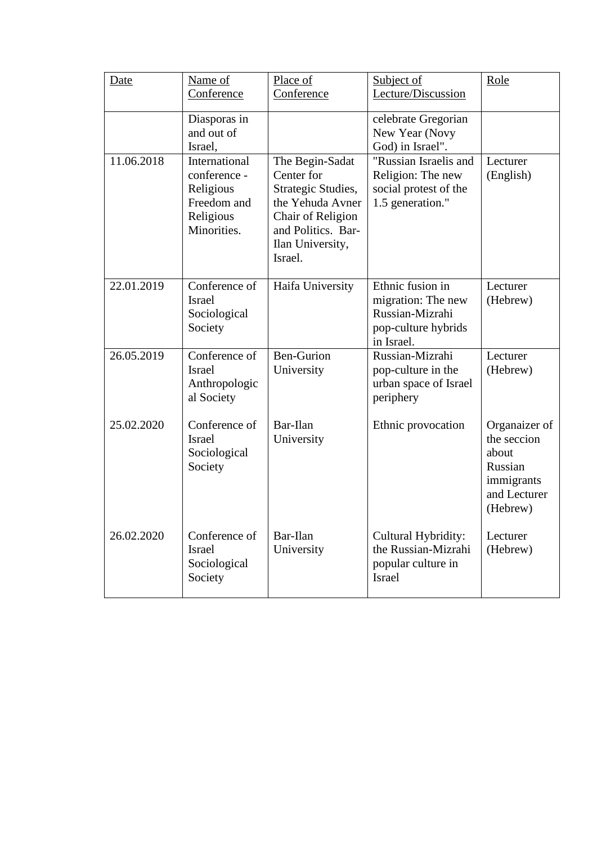| Date       | Name of<br>Conference                                                                 | Place of<br>Conference                                                                                                                            | Subject of<br>Lecture/Discussion                                                               | Role                                                                                       |
|------------|---------------------------------------------------------------------------------------|---------------------------------------------------------------------------------------------------------------------------------------------------|------------------------------------------------------------------------------------------------|--------------------------------------------------------------------------------------------|
|            | Diasporas in<br>and out of<br>Israel,                                                 |                                                                                                                                                   | celebrate Gregorian<br>New Year (Novy<br>God) in Israel".                                      |                                                                                            |
| 11.06.2018 | International<br>conference -<br>Religious<br>Freedom and<br>Religious<br>Minorities. | The Begin-Sadat<br>Center for<br>Strategic Studies,<br>the Yehuda Avner<br>Chair of Religion<br>and Politics. Bar-<br>Ilan University,<br>Israel. | "Russian Israelis and<br>Religion: The new<br>social protest of the<br>1.5 generation."        | Lecturer<br>(English)                                                                      |
| 22.01.2019 | Conference of<br><b>Israel</b><br>Sociological<br>Society                             | Haifa University                                                                                                                                  | Ethnic fusion in<br>migration: The new<br>Russian-Mizrahi<br>pop-culture hybrids<br>in Israel. | Lecturer<br>(Hebrew)                                                                       |
| 26.05.2019 | Conference of<br><b>Israel</b><br>Anthropologic<br>al Society                         | <b>Ben-Gurion</b><br>University                                                                                                                   | Russian-Mizrahi<br>pop-culture in the<br>urban space of Israel<br>periphery                    | Lecturer<br>(Hebrew)                                                                       |
| 25.02.2020 | Conference of<br><b>Israel</b><br>Sociological<br>Society                             | Bar-Ilan<br>University                                                                                                                            | Ethnic provocation                                                                             | Organaizer of<br>the seccion<br>about<br>Russian<br>immigrants<br>and Lecturer<br>(Hebrew) |
| 26.02.2020 | Conference of<br><b>Israel</b><br>Sociological<br>Society                             | Bar-Ilan<br>University                                                                                                                            | Cultural Hybridity:<br>the Russian-Mizrahi<br>popular culture in<br><b>Israel</b>              | Lecturer<br>(Hebrew)                                                                       |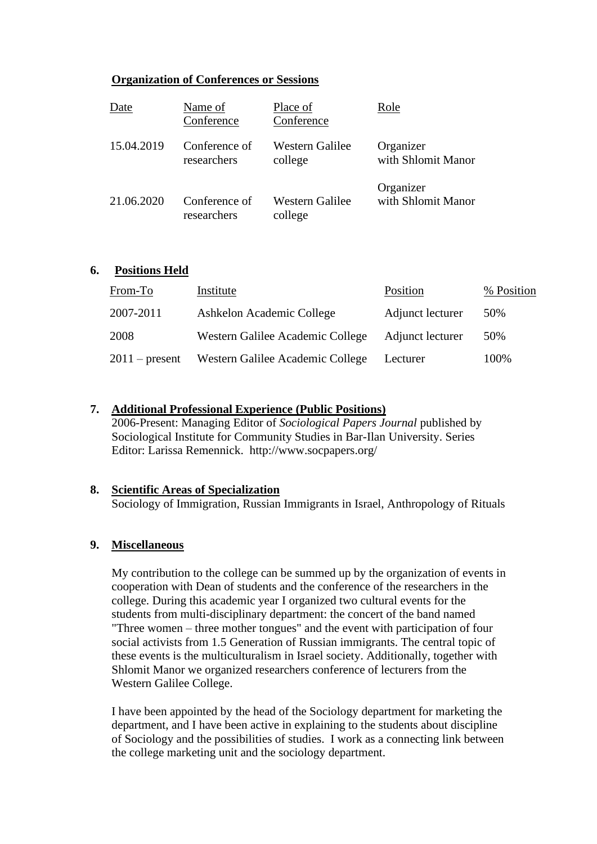#### **Organization of Conferences or Sessions**

| Date       | Name of<br>Conference | Place of<br>Conference | Role               |
|------------|-----------------------|------------------------|--------------------|
| 15.04.2019 | Conference of         | Western Galilee        | Organizer          |
|            | researchers           | college                | with Shlomit Manor |
| 21.06.2020 | Conference of         | <b>Western Galilee</b> | Organizer          |
|            | researchers           | college                | with Shlomit Manor |

#### **6. Positions Held**

| From-To          | Institute                        | Position         | % Position |
|------------------|----------------------------------|------------------|------------|
| 2007-2011        | Ashkelon Academic College        | Adjunct lecturer | 50%        |
| 2008             | Western Galilee Academic College | Adjunct lecturer | 50%        |
| $2011$ – present | Western Galilee Academic College | Lecturer         | 100%       |

#### **7. Additional Professional Experience (Public Positions)**

2006-Present: Managing Editor of *Sociological Papers Journal* published by Sociological Institute for Community Studies in Bar-Ilan University. Series Editor: Larissa Remennick. http://www.socpapers.org/

#### **8. Scientific Areas of Specialization**

Sociology of Immigration, Russian Immigrants in Israel, Anthropology of Rituals

#### **9. Miscellaneous**

My contribution to the college can be summed up by the organization of events in cooperation with Dean of students and the conference of the researchers in the college. During this academic year I organized two cultural events for the students from multi-disciplinary department: the concert of the band named "Three women – three mother tongues" and the event with participation of four social activists from 1.5 Generation of Russian immigrants. The central topic of these events is the multiculturalism in Israel society. Additionally, together with Shlomit Manor we organized researchers conference of lecturers from the Western Galilee College.

I have been appointed by the head of the Sociology department for marketing the department, and I have been active in explaining to the students about discipline of Sociology and the possibilities of studies. I work as a connecting link between the college marketing unit and the sociology department.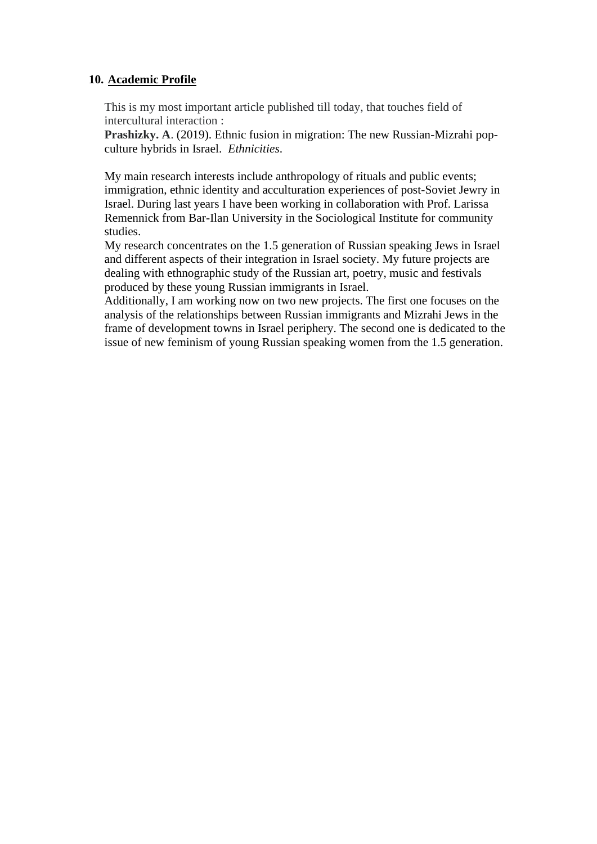#### **10. Academic Profile**

This is my most important article published till today, that touches field of intercultural interaction :

**Prashizky. A**. (2019). Ethnic fusion in migration: The new Russian-Mizrahi popculture hybrids in Israel. *Ethnicities*.

My main research interests include anthropology of rituals and public events; immigration, ethnic identity and acculturation experiences of post-Soviet Jewry in Israel. During last years I have been working in collaboration with Prof. Larissa Remennick from Bar-Ilan University in the Sociological Institute for community studies.

My research concentrates on the 1.5 generation of Russian speaking Jews in Israel and different aspects of their integration in Israel society. My future projects are dealing with ethnographic study of the Russian art, poetry, music and festivals produced by these young Russian immigrants in Israel.

Additionally, I am working now on two new projects. The first one focuses on the analysis of the relationships between Russian immigrants and Mizrahi Jews in the frame of development towns in Israel periphery. The second one is dedicated to the issue of new feminism of young Russian speaking women from the 1.5 generation.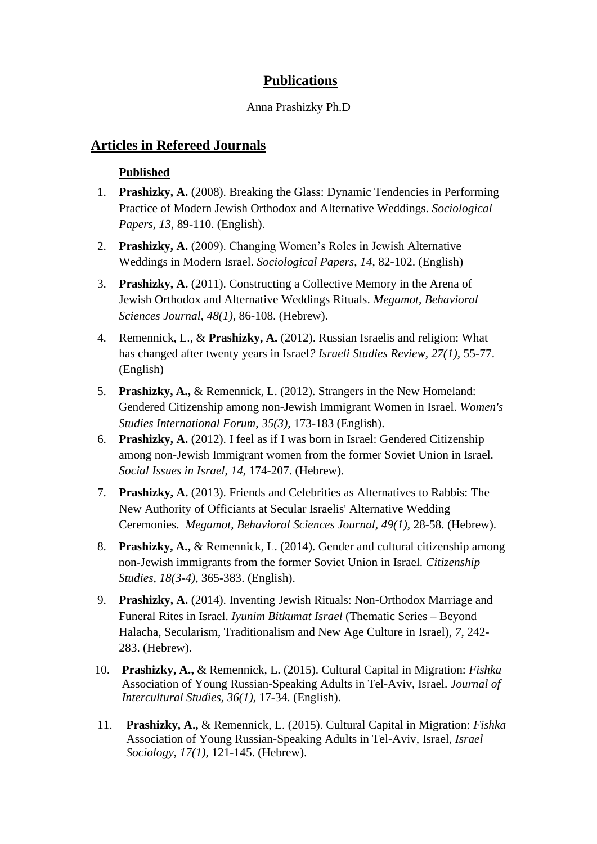### **Publications**

#### Anna Prashizky Ph.D

### **Articles in Refereed Journals**

### **Published**

- 1. **Prashizky, A.** (2008). Breaking the Glass: Dynamic Tendencies in Performing Practice of Modern Jewish Orthodox and Alternative Weddings. *Sociological Papers, 13*, 89-110. (English).
- 2. **Prashizky, A.** (2009). Changing Women's Roles in Jewish Alternative Weddings in Modern Israel. *Sociological Papers*, *14*, 82-102. (English)
- 3. **Prashizky, A.** (2011). Constructing a Collective Memory in the Arena of Jewish Orthodox and Alternative Weddings Rituals. *Megamot, Behavioral Sciences Journal*, *48(1),* 86-108. (Hebrew).
- 4. Remennick, L., & **Prashizky, A.** (2012). Russian Israelis and religion: What has changed after twenty years in Israel*? Israeli Studies Review, 27(1),* 55-77. (English)
- 5. **Prashizky, A.,** & Remennick, L. (2012). Strangers in the New Homeland: Gendered Citizenship among non-Jewish Immigrant Women in Israel. *Women's Studies International Forum*, *35(3),* 173-183 (English).
- 6. **Prashizky, A.** (2012). I feel as if I was born in Israel: Gendered Citizenship among non-Jewish Immigrant women from the former Soviet Union in Israel. *Social Issues in Israel*, *14*, 174-207. (Hebrew).
- 7. **Prashizky, A.** (2013). Friends and Celebrities as Alternatives to Rabbis: The New Authority of Officiants at Secular Israelis' Alternative Wedding Ceremonies. *Megamot, Behavioral Sciences Journal, 49(1),* 28-58. (Hebrew).
- 8. **Prashizky, A.,** & Remennick, L. (2014). Gender and cultural citizenship among non-Jewish immigrants from the former Soviet Union in Israel. *Citizenship Studies*, *18(3-4),* 365-383. (English).
- 9. **Prashizky, A.** (2014). Inventing Jewish Rituals: Non-Orthodox Marriage and Funeral Rites in Israel. *Iyunim Bitkumat Israel* (Thematic Series – Beyond Halacha, Secularism, Traditionalism and New Age Culture in Israel), *7*, 242- 283. (Hebrew).
- 10. **Prashizky, A.,** & Remennick, L. (2015). Cultural Capital in Migration: *Fishka* Association of Young Russian-Speaking Adults in Tel-Aviv, Israel. *Journal of Intercultural Studies, 36(1),* 17-34. (English).
- 11. **Prashizky, A.,** & Remennick, L. (2015). Cultural Capital in Migration: *Fishka* Association of Young Russian-Speaking Adults in Tel-Aviv, Israel, *Israel Sociology*, *17(1),* 121-145. (Hebrew).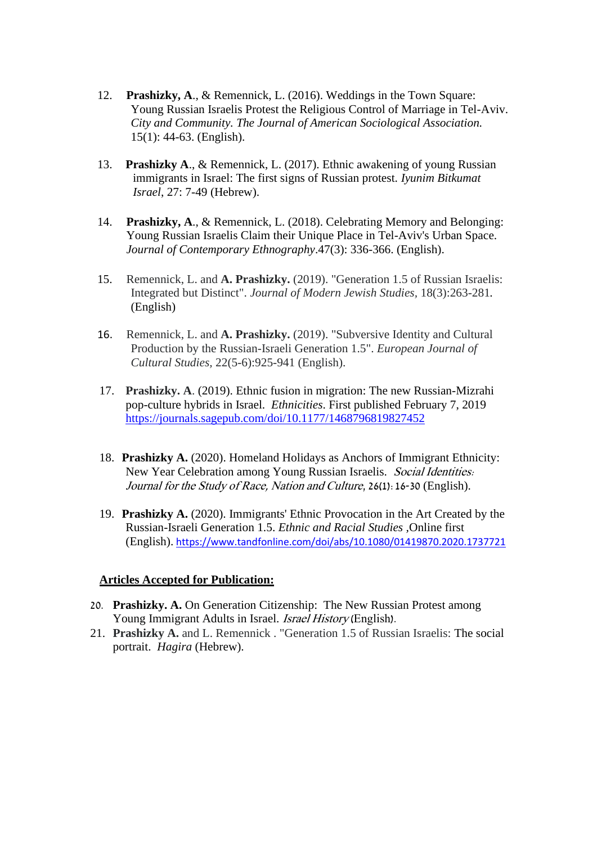- 12. **Prashizky, A**., & Remennick, L. (2016). Weddings in the Town Square: Young Russian Israelis Protest the Religious Control of Marriage in Tel-Aviv. *City and Community. The Journal of American Sociological Association.*  15(1): 44-63. (English).
- 13. **Prashizky A**., & Remennick, L. (2017). Ethnic awakening of young Russian immigrants in Israel: The first signs of Russian protest. *Iyunim Bitkumat Israel*, 27: 7-49 (Hebrew).
- 14. **Prashizky, A**., & Remennick, L. (2018). Celebrating Memory and Belonging: Young Russian Israelis Claim their Unique Place in Tel-Aviv's Urban Space. *Journal of Contemporary Ethnography*.47(3): 336-366. (English).
- 15. Remennick, L. and **A. Prashizky.** (2019). "Generation 1.5 of Russian Israelis: Integrated but Distinct". *Journal of Modern Jewish Studies,* 18(3):263-281*.* (English)
- 16. Remennick, L. and **A. Prashizky.** (2019). "Subversive Identity and Cultural Production by the Russian-Israeli Generation 1.5". *European Journal of Cultural Studies,* 22(5-6):925-941 (English).
- 17. **Prashizky. A**. (2019). Ethnic fusion in migration: The new Russian-Mizrahi pop-culture hybrids in Israel. *Ethnicities*. First published February 7, 2019 <https://journals.sagepub.com/doi/10.1177/1468796819827452>
- 18. **Prashizky A.** (2020). Homeland Holidays as Anchors of Immigrant Ethnicity: New Year Celebration among Young Russian Israelis. Social Identities: Journal for the Study of Race, Nation and Culture, 26(1):16-30 (English).
- 19. **Prashizky A.** (2020). Immigrants' Ethnic Provocation in the Art Created by the Russian-Israeli Generation 1.5. *Ethnic and Racial Studies ,*Online first (English). <https://www.tandfonline.com/doi/abs/10.1080/01419870.2020.1737721>

#### **Articles Accepted for Publication:**

- 20. **Prashizky. A.** On Generation Citizenship: The New Russian Protest among Young Immigrant Adults in Israel. Israel History (English).
- 21. **Prashizky A.** and L. Remennick . "Generation 1.5 of Russian Israelis: The social portrait. *Hagira* (Hebrew).